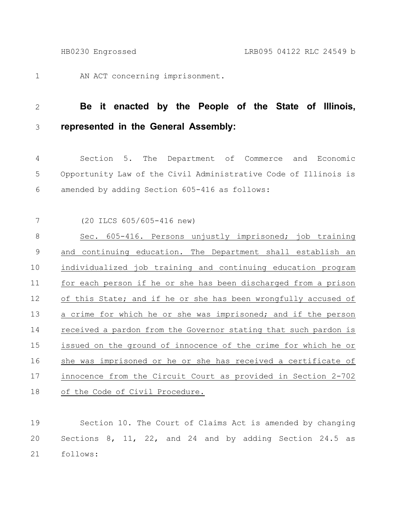AN ACT concerning imprisonment. 1

## **Be it enacted by the People of the State of Illinois, represented in the General Assembly:** 2 3

Section 5. The Department of Commerce and Economic Opportunity Law of the Civil Administrative Code of Illinois is amended by adding Section 605-416 as follows: 4 5 6

(20 ILCS 605/605-416 new) 7

Sec. 605-416. Persons unjustly imprisoned; job training and continuing education. The Department shall establish an individualized job training and continuing education program for each person if he or she has been discharged from a prison of this State; and if he or she has been wrongfully accused of a crime for which he or she was imprisoned; and if the person received a pardon from the Governor stating that such pardon is issued on the ground of innocence of the crime for which he or she was imprisoned or he or she has received a certificate of innocence from the Circuit Court as provided in Section 2-702 of the Code of Civil Procedure. 8 9 10 11 12 13 14 15 16 17 18

Section 10. The Court of Claims Act is amended by changing Sections 8, 11, 22, and 24 and by adding Section 24.5 as follows: 19 20 21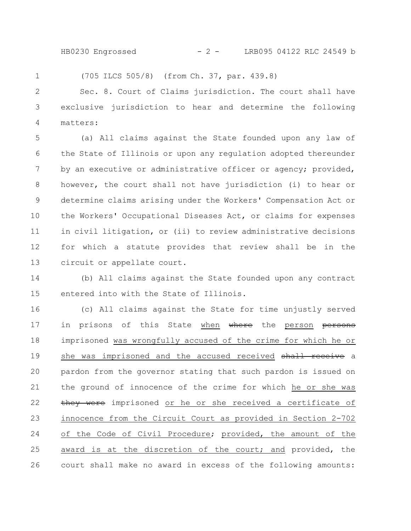HB0230 Engrossed - 2 - LRB095 04122 RLC 24549 b

(705 ILCS 505/8) (from Ch. 37, par. 439.8)

1

Sec. 8. Court of Claims jurisdiction. The court shall have exclusive jurisdiction to hear and determine the following matters: 2 3 4

(a) All claims against the State founded upon any law of the State of Illinois or upon any regulation adopted thereunder by an executive or administrative officer or agency; provided, however, the court shall not have jurisdiction (i) to hear or determine claims arising under the Workers' Compensation Act or the Workers' Occupational Diseases Act, or claims for expenses in civil litigation, or (ii) to review administrative decisions for which a statute provides that review shall be in the circuit or appellate court. 5 6 7 8 9 10 11 12 13

(b) All claims against the State founded upon any contract entered into with the State of Illinois. 14 15

(c) All claims against the State for time unjustly served in prisons of this State when where the person persons imprisoned was wrongfully accused of the crime for which he or she was imprisoned and the accused received shall receive a pardon from the governor stating that such pardon is issued on the ground of innocence of the crime for which he or she was they were imprisoned or he or she received a certificate of innocence from the Circuit Court as provided in Section 2-702 of the Code of Civil Procedure; provided, the amount of the award is at the discretion of the court; and provided, the court shall make no award in excess of the following amounts: 16 17 18 19 20 21 22 23 24 25 26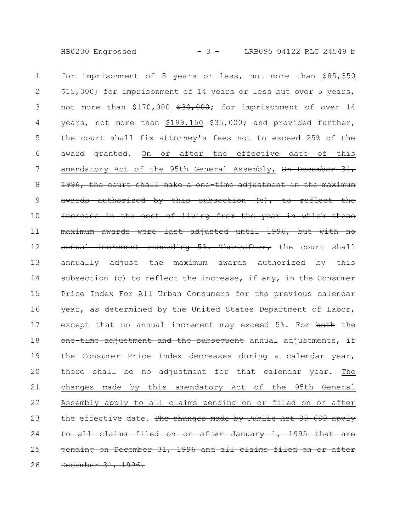HB0230 Engrossed - 3 - LRB095 04122 RLC 24549 b

for imprisonment of 5 years or less, not more than \$85,350 \$15,000; for imprisonment of 14 years or less but over 5 years, not more than \$170,000 \$30,000; for imprisonment of over 14 years, not more than  $$199,150$   $$35,000$ ; and provided further, the court shall fix attorney's fees not to exceed 25% of the award granted. On or after the effective date of this amendatory Act of the 95th General Assembly, On December 31, 1996, the court shall make a one time adjustment in awards authorized by this subsection (c), to reflect the increase in the cost of living from the year in which these maximum awards were last adjusted until 1996, but with no annual increment exceeding 5%. Thereafter, the court shall annually adjust the maximum awards authorized by this subsection (c) to reflect the increase, if any, in the Consumer Price Index For All Urban Consumers for the previous calendar year, as determined by the United States Department of Labor, except that no annual increment may exceed 5%. For both the one time adjustment and the subsequent annual adjustments, if the Consumer Price Index decreases during a calendar year, there shall be no adjustment for that calendar year. The changes made by this amendatory Act of the 95th General Assembly apply to all claims pending on or filed on or after the effective date. The changes made by Public Act 89-689 apply to all claims filed on or after January 1, 1995 pending on December 31, 1996 and all claims filed on or after December 31, 1996. 1 2 3 4 5 6 7 8 9 10 11 12 13 14 15 16 17 18 19 20 21 22 23 24 25 26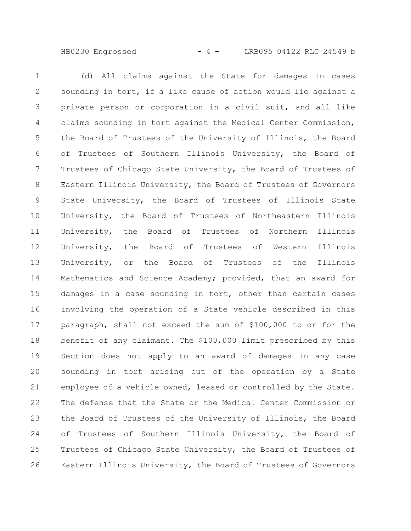HB0230 Engrossed - 4 - LRB095 04122 RLC 24549 b

(d) All claims against the State for damages in cases sounding in tort, if a like cause of action would lie against a private person or corporation in a civil suit, and all like claims sounding in tort against the Medical Center Commission, the Board of Trustees of the University of Illinois, the Board of Trustees of Southern Illinois University, the Board of Trustees of Chicago State University, the Board of Trustees of Eastern Illinois University, the Board of Trustees of Governors State University, the Board of Trustees of Illinois State University, the Board of Trustees of Northeastern Illinois University, the Board of Trustees of Northern Illinois University, the Board of Trustees of Western Illinois University, or the Board of Trustees of the Illinois Mathematics and Science Academy; provided, that an award for damages in a case sounding in tort, other than certain cases involving the operation of a State vehicle described in this paragraph, shall not exceed the sum of \$100,000 to or for the benefit of any claimant. The \$100,000 limit prescribed by this Section does not apply to an award of damages in any case sounding in tort arising out of the operation by a State employee of a vehicle owned, leased or controlled by the State. The defense that the State or the Medical Center Commission or the Board of Trustees of the University of Illinois, the Board of Trustees of Southern Illinois University, the Board of Trustees of Chicago State University, the Board of Trustees of Eastern Illinois University, the Board of Trustees of Governors 1 2 3 4 5 6 7 8 9 10 11 12 13 14 15 16 17 18 19 20 21 22 23 24 25 26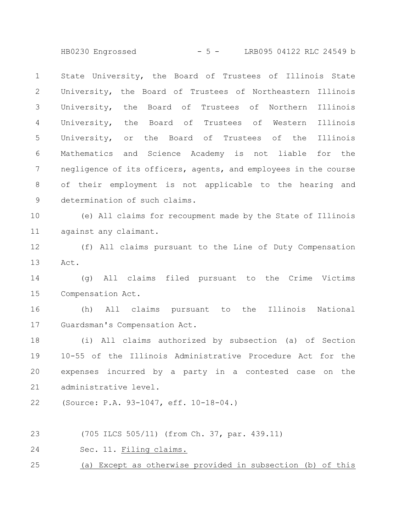HB0230 Engrossed - 5 - LRB095 04122 RLC 24549 b

State University, the Board of Trustees of Illinois State University, the Board of Trustees of Northeastern Illinois University, the Board of Trustees of Northern Illinois University, the Board of Trustees of Western Illinois University, or the Board of Trustees of the Illinois Mathematics and Science Academy is not liable for the negligence of its officers, agents, and employees in the course of their employment is not applicable to the hearing and determination of such claims. 1 2 3 4 5 6 7 8 9

(e) All claims for recoupment made by the State of Illinois against any claimant. 10 11

(f) All claims pursuant to the Line of Duty Compensation Act. 12 13

(g) All claims filed pursuant to the Crime Victims Compensation Act. 14 15

(h) All claims pursuant to the Illinois National Guardsman's Compensation Act. 16 17

(i) All claims authorized by subsection (a) of Section 10-55 of the Illinois Administrative Procedure Act for the expenses incurred by a party in a contested case on the administrative level. 18 19 20 21

(Source: P.A. 93-1047, eff. 10-18-04.) 22

(705 ILCS 505/11) (from Ch. 37, par. 439.11) 23

Sec. 11. Filing claims. 24

(a) Except as otherwise provided in subsection (b) of this 25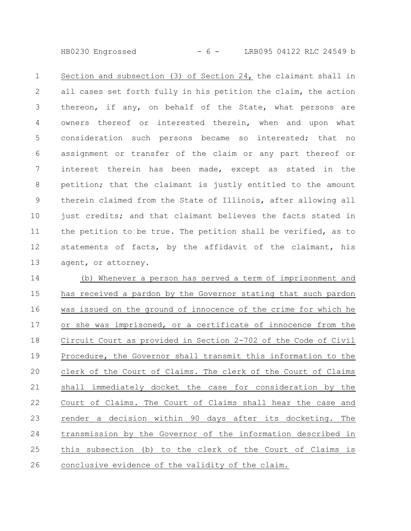HB0230 Engrossed - 6 - LRB095 04122 RLC 24549 b

Section and subsection (3) of Section 24, the claimant shall in all cases set forth fully in his petition the claim, the action thereon, if any, on behalf of the State, what persons are owners thereof or interested therein, when and upon what consideration such persons became so interested; that no assignment or transfer of the claim or any part thereof or interest therein has been made, except as stated in the petition; that the claimant is justly entitled to the amount therein claimed from the State of Illinois, after allowing all just credits; and that claimant believes the facts stated in the petition to be true. The petition shall be verified, as to statements of facts, by the affidavit of the claimant, his agent, or attorney. 1 2 3 4 5 6 7 8 9 10 11 12 13

(b) Whenever a person has served a term of imprisonment and has received a pardon by the Governor stating that such pardon was issued on the ground of innocence of the crime for which he or she was imprisoned, or a certificate of innocence from the Circuit Court as provided in Section 2-702 of the Code of Civil Procedure, the Governor shall transmit this information to the clerk of the Court of Claims. The clerk of the Court of Claims shall immediately docket the case for consideration by the Court of Claims. The Court of Claims shall hear the case and render a decision within 90 days after its docketing. The transmission by the Governor of the information described in this subsection (b) to the clerk of the Court of Claims is conclusive evidence of the validity of the claim. 14 15 16 17 18 19 20 21 22 23 24 25 26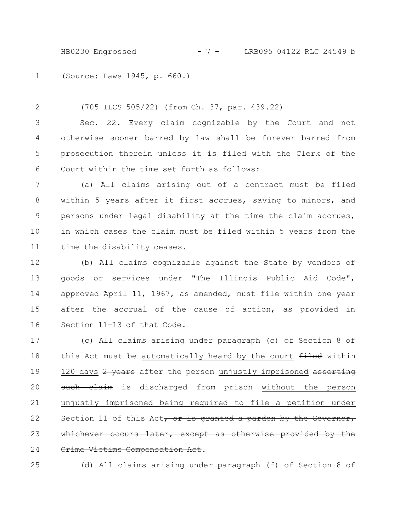HB0230 Engrossed - 7 - LRB095 04122 RLC 24549 b

(Source: Laws 1945, p. 660.) 1

(705 ILCS 505/22) (from Ch. 37, par. 439.22) Sec. 22. Every claim cognizable by the Court and not otherwise sooner barred by law shall be forever barred from prosecution therein unless it is filed with the Clerk of the Court within the time set forth as follows: 2 3 4 5 6

(a) All claims arising out of a contract must be filed within 5 years after it first accrues, saving to minors, and persons under legal disability at the time the claim accrues, in which cases the claim must be filed within 5 years from the time the disability ceases. 7 8 9 10 11

(b) All claims cognizable against the State by vendors of goods or services under "The Illinois Public Aid Code", approved April 11, 1967, as amended, must file within one year after the accrual of the cause of action, as provided in Section 11-13 of that Code. 12 13 14 15 16

(c) All claims arising under paragraph (c) of Section 8 of this Act must be automatically heard by the court filed within 120 days 2 years after the person unjustly imprisoned asserting such claim is discharged from prison without the person unjustly imprisoned being required to file a petition under Section 11 of this Act, or is granted a pardon by the Governor, whichever occurs later, except as otherwise provided by the Crime Victims Compensation Act. 17 18 19 20 21 22 23 24

25

(d) All claims arising under paragraph (f) of Section 8 of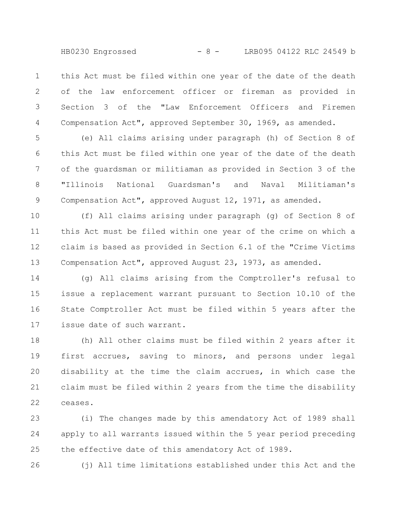this Act must be filed within one year of the date of the death of the law enforcement officer or fireman as provided in Section 3 of the "Law Enforcement Officers and Firemen Compensation Act", approved September 30, 1969, as amended. 1 2 3 4

(e) All claims arising under paragraph (h) of Section 8 of this Act must be filed within one year of the date of the death of the guardsman or militiaman as provided in Section 3 of the "Illinois National Guardsman's and Naval Militiaman's Compensation Act", approved August 12, 1971, as amended. 5 6 7 8 9

(f) All claims arising under paragraph (g) of Section 8 of this Act must be filed within one year of the crime on which a claim is based as provided in Section 6.1 of the "Crime Victims Compensation Act", approved August 23, 1973, as amended. 10 11 12 13

(g) All claims arising from the Comptroller's refusal to issue a replacement warrant pursuant to Section 10.10 of the State Comptroller Act must be filed within 5 years after the issue date of such warrant. 14 15 16 17

(h) All other claims must be filed within 2 years after it first accrues, saving to minors, and persons under legal disability at the time the claim accrues, in which case the claim must be filed within 2 years from the time the disability ceases. 18 19 20 21 22

(i) The changes made by this amendatory Act of 1989 shall apply to all warrants issued within the 5 year period preceding the effective date of this amendatory Act of 1989. 23 24 25

26

(j) All time limitations established under this Act and the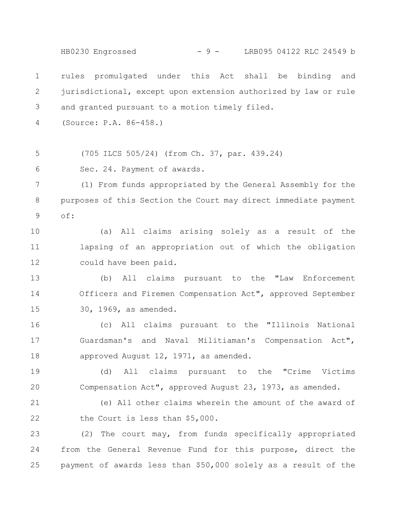rules promulgated under this Act shall be binding and jurisdictional, except upon extension authorized by law or rule and granted pursuant to a motion timely filed. (Source: P.A. 86-458.) (705 ILCS 505/24) (from Ch. 37, par. 439.24) Sec. 24. Payment of awards. (1) From funds appropriated by the General Assembly for the purposes of this Section the Court may direct immediate payment of: (a) All claims arising solely as a result of the lapsing of an appropriation out of which the obligation could have been paid. (b) All claims pursuant to the "Law Enforcement Officers and Firemen Compensation Act", approved September 30, 1969, as amended. (c) All claims pursuant to the "Illinois National Guardsman's and Naval Militiaman's Compensation Act", approved August 12, 1971, as amended. (d) All claims pursuant to the "Crime Victims Compensation Act", approved August 23, 1973, as amended. (e) All other claims wherein the amount of the award of the Court is less than \$5,000. (2) The court may, from funds specifically appropriated from the General Revenue Fund for this purpose, direct the 1 2 3 4 5 6 7 8 9 10 11 12 13 14 15 16 17 18 19 20 21 22 23 24 HB0230 Engrossed - 9 - LRB095 04122 RLC 24549 b

payment of awards less than \$50,000 solely as a result of the

25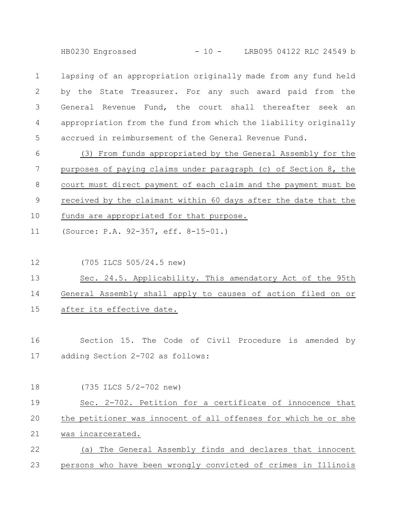HB0230 Engrossed - 10 - LRB095 04122 RLC 24549 b

lapsing of an appropriation originally made from any fund held by the State Treasurer. For any such award paid from the General Revenue Fund, the court shall thereafter seek an appropriation from the fund from which the liability originally accrued in reimbursement of the General Revenue Fund. 1 2 3 4 5

(3) From funds appropriated by the General Assembly for the purposes of paying claims under paragraph (c) of Section 8, the court must direct payment of each claim and the payment must be received by the claimant within 60 days after the date that the funds are appropriated for that purpose. 6 7 8 9 10

(Source: P.A. 92-357, eff. 8-15-01.) 11

(705 ILCS 505/24.5 new) 12

Sec. 24.5. Applicability. This amendatory Act of the 95th General Assembly shall apply to causes of action filed on or after its effective date. 13 14 15

Section 15. The Code of Civil Procedure is amended by adding Section 2-702 as follows: 16 17

(735 ILCS 5/2-702 new) Sec. 2-702. Petition for a certificate of innocence that the petitioner was innocent of all offenses for which he or she was incarcerated. (a) The General Assembly finds and declares that innocent persons who have been wrongly convicted of crimes in Illinois 18 19 20 21 22 23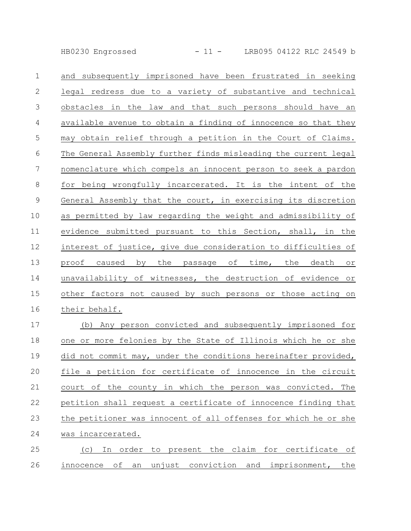HB0230 Engrossed - 11 - LRB095 04122 RLC 24549 b

| $\mathbf 1$    | and subsequently imprisoned have been frustrated in seeking     |
|----------------|-----------------------------------------------------------------|
| 2              | legal redress due to a variety of substantive and technical     |
| $\mathfrak{Z}$ | obstacles in the law and that such persons should have an       |
| $\overline{4}$ | available avenue to obtain a finding of innocence so that they  |
| 5              | may obtain relief through a petition in the Court of Claims.    |
| 6              | The General Assembly further finds misleading the current legal |
| $\overline{7}$ | nomenclature which compels an innocent person to seek a pardon  |
| $\,8\,$        | for being wrongfully incarcerated. It is the intent of the      |
| $\mathsf 9$    | General Assembly that the court, in exercising its discretion   |
| 10             | as permitted by law regarding the weight and admissibility of   |
| 11             | evidence submitted pursuant to this Section, shall, in the      |
| 12             | interest of justice, give due consideration to difficulties of  |
| 13             | proof caused by the passage of time, the death or               |
| 14             | unavailability of witnesses, the destruction of evidence or     |
| 15             | other factors not caused by such persons or those acting on     |
|                |                                                                 |
| 16             | their behalf.                                                   |
| 17             | (b) Any person convicted and subsequently imprisoned for        |
| 18             | one or more felonies by the State of Illinois which he or she   |
| 19             | did not commit may, under the conditions hereinafter provided,  |
| 20             | file a petition for certificate of innocence in the circuit     |
| 21             | court of the county in which the person was convicted.<br>The   |
| 22             | petition shall request a certificate of innocence finding that  |
| 23             | the petitioner was innocent of all offenses for which he or she |

(c) In order to present the claim for certificate of innocence of an unjust conviction and imprisonment, the 25 26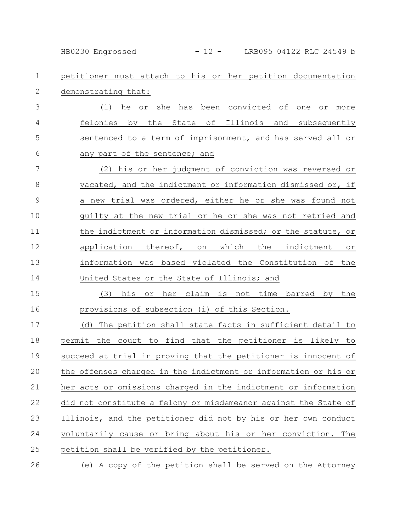HB0230 Engrossed - 12 - LRB095 04122 RLC 24549 b

petitioner must attach to his or her petition documentation demonstrating that: 1 2

(1) he or she has been convicted of one or more felonies by the State of Illinois and subsequently sentenced to a term of imprisonment, and has served all or any part of the sentence; and 3 4 5 6

(2) his or her judgment of conviction was reversed or vacated, and the indictment or information dismissed or, if a new trial was ordered, either he or she was found not guilty at the new trial or he or she was not retried and the indictment or information dismissed; or the statute, or application thereof, on which the indictment or information was based violated the Constitution of the United States or the State of Illinois; and 7 8 9 10 11 12 13 14

(3) his or her claim is not time barred by the provisions of subsection (i) of this Section. 15 16

(d) The petition shall state facts in sufficient detail to permit the court to find that the petitioner is likely to succeed at trial in proving that the petitioner is innocent of the offenses charged in the indictment or information or his or her acts or omissions charged in the indictment or information did not constitute a felony or misdemeanor against the State of Illinois, and the petitioner did not by his or her own conduct voluntarily cause or bring about his or her conviction. The petition shall be verified by the petitioner. 17 18 19 20 21 22 23 24 25

(e) A copy of the petition shall be served on the Attorney 26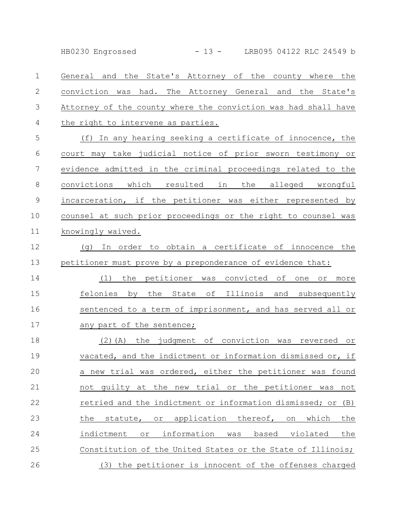HB0230 Engrossed - 13 - LRB095 04122 RLC 24549 b

General and the State's Attorney of the county where the conviction was had. The Attorney General and the State's Attorney of the county where the conviction was had shall have the right to intervene as parties. 1 2 3 4

(f) In any hearing seeking a certificate of innocence, the court may take judicial notice of prior sworn testimony or evidence admitted in the criminal proceedings related to the convictions which resulted in the alleged wrongful incarceration, if the petitioner was either represented by counsel at such prior proceedings or the right to counsel was knowingly waived. 5 6 7 8 9 10 11

(g) In order to obtain a certificate of innocence the petitioner must prove by a preponderance of evidence that: 12 13

(1) the petitioner was convicted of one or more felonies by the State of Illinois and subsequently sentenced to a term of imprisonment, and has served all or any part of the sentence; 14 15 16 17

(2)(A) the judgment of conviction was reversed or vacated, and the indictment or information dismissed or, if a new trial was ordered, either the petitioner was found not guilty at the new trial or the petitioner was not retried and the indictment or information dismissed; or (B) the statute, or application thereof, on which the indictment or information was based violated the Constitution of the United States or the State of Illinois; (3) the petitioner is innocent of the offenses charged 18 19 20 21 22 23 24 25 26